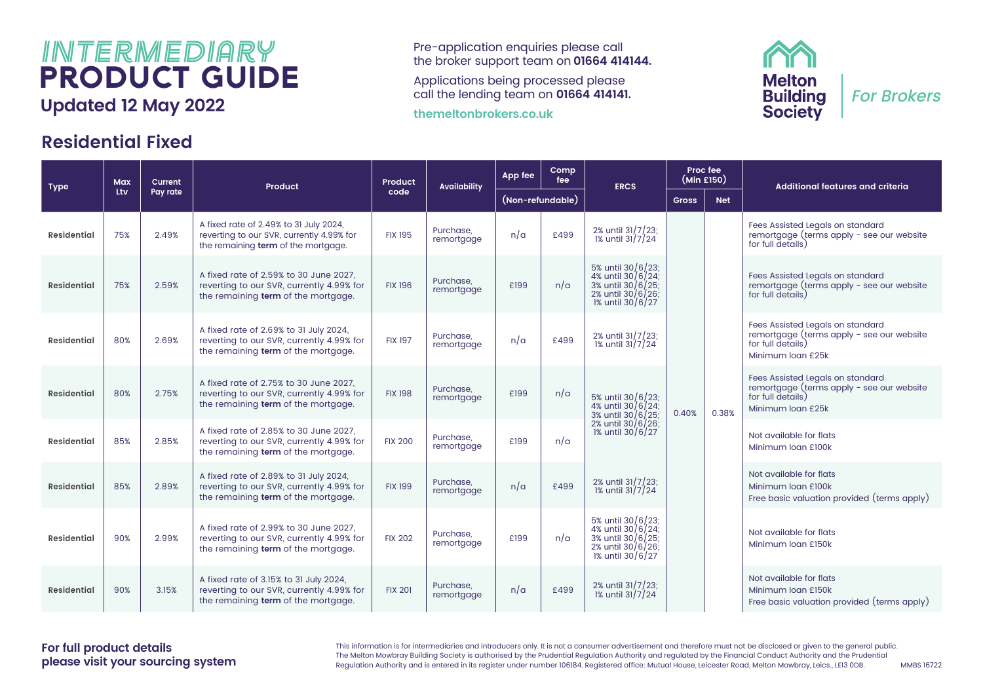## $I\llbracket N \rceil \bar{E} \mathbb{R} \mathbb{M} \bar{E} \bar{D} I \bar{B} \mathbb{R} \mathbb{Y}$  Pre-application enquiries please call<br>the broker support team on 01664 414 PRODUCT GUIDE

### **Residential Fixed**

the broker support team on **01664 414144.** 

Applications being processed please call the lending team on **01664 414141.**

**themeltonbrokers.co.uk**



| <b>Type</b>        | <b>Max</b> | Current  | Product                                                                                                                    | Product        | <b>Availability</b>     | App fee          | Comp<br>fee | <b>ERCS</b>                                                                                          |              | Proc fee<br>(Min £150) | Additional features and criteria                                                                                        |
|--------------------|------------|----------|----------------------------------------------------------------------------------------------------------------------------|----------------|-------------------------|------------------|-------------|------------------------------------------------------------------------------------------------------|--------------|------------------------|-------------------------------------------------------------------------------------------------------------------------|
|                    | Ltv        | Pay rate |                                                                                                                            | code           |                         | (Non-refundable) |             |                                                                                                      | <b>Gross</b> | <b>Net</b>             |                                                                                                                         |
| <b>Residential</b> | 75%        | 2.49%    | A fixed rate of 2.49% to 31 July 2024,<br>reverting to our SVR, currently 4.99% for<br>the remaining term of the mortgage. | <b>FIX 195</b> | Purchase.<br>remortgage | n/a              | £499        | 2% until 31/7/23;<br>1% until 31/7/24                                                                |              |                        | Fees Assisted Legals on standard<br>remortgage (terms apply - see our website<br>for full details)                      |
| <b>Residential</b> | 75%        | 2.59%    | A fixed rate of 2.59% to 30 June 2027.<br>reverting to our SVR, currently 4.99% for<br>the remaining term of the mortgage. | <b>FIX 196</b> | Purchase.<br>remortgage | £199             | n/a         | 5% until 30/6/23;<br>4% until 30/6/24:<br>3% until 30/6/25:<br>2% until 30/6/26;<br>1% until 30/6/27 |              |                        | Fees Assisted Legals on standard<br>remortgage (terms apply - see our website<br>for full details)                      |
| Residential        | 80%        | 2.69%    | A fixed rate of 2.69% to 31 July 2024,<br>reverting to our SVR, currently 4.99% for<br>the remaining term of the mortgage. | <b>FIX 197</b> | Purchase.<br>remortgage | n/a              | £499        | 2% until 31/7/23;<br>1% until 31/7/24                                                                |              |                        | Fees Assisted Legals on standard<br>remortgage (terms apply - see our website<br>for full details)<br>Minimum Ioan £25k |
| <b>Residential</b> | 80%        | 2.75%    | A fixed rate of 2.75% to 30 June 2027.<br>reverting to our SVR, currently 4.99% for<br>the remaining term of the mortgage. | <b>FIX 198</b> | Purchase.<br>remortgage | £199             | n/a         | 5% until 30/6/23;<br>4% until 30/6/24;<br>3% until 30/6/25;                                          | 0.40%        | 0.38%                  | Fees Assisted Legals on standard<br>remortgage (terms apply - see our website<br>for full details)<br>Minimum loan £25k |
| <b>Residential</b> | 85%        | 2.85%    | A fixed rate of 2.85% to 30 June 2027.<br>reverting to our SVR, currently 4.99% for<br>the remaining term of the mortgage. | <b>FIX 200</b> | Purchase.<br>remortgage | £199             | n/a         | 2% until 30/6/26;<br>1% until 30/6/27                                                                |              |                        | Not available for flats<br>Minimum loan £100k                                                                           |
| <b>Residential</b> | 85%        | 2.89%    | A fixed rate of 2.89% to 31 July 2024,<br>reverting to our SVR, currently 4.99% for<br>the remaining term of the mortgage. | <b>FIX 199</b> | Purchase.<br>remortgage | n/a              | £499        | 2% until 31/7/23;<br>1% until 31/7/24                                                                |              |                        | Not available for flats<br>Minimum loan £100k<br>Free basic valuation provided (terms apply)                            |
| Residential        | 90%        | 2.99%    | A fixed rate of 2.99% to 30 June 2027.<br>reverting to our SVR, currently 4.99% for<br>the remaining term of the mortgage. | <b>FIX 202</b> | Purchase.<br>remortgage | £199             | n/a         | 5% until 30/6/23;<br>4% until 30/6/24;<br>3% until 30/6/25;<br>2% until 30/6/26;<br>1% until 30/6/27 |              |                        | Not available for flats<br>Minimum loan £150k                                                                           |
| <b>Residential</b> | 90%        | 3.15%    | A fixed rate of 3.15% to 31 July 2024,<br>reverting to our SVR, currently 4.99% for<br>the remaining term of the mortgage. | <b>FIX 201</b> | Purchase.<br>remortgage | n/a              | £499        | 2% until 31/7/23;<br>1% until 31/7/24                                                                |              |                        | Not available for flats<br>Minimum Ioan £150k<br>Free basic valuation provided (terms apply)                            |

This information is for intermediaries and introducers only. It is not a consumer advertisement and therefore must not be disclosed or given to the general public. The Melton Mowbray Building Society is authorised by the Prudential Regulation Authority and regulated by the Financial Conduct Authority and the Prudential Regulation Authority and is entered in its register under number 106184. Registered office: Mutual House, Leicester Road, Melton Mowbray, Leics., LE13 0DB. MMBS 16722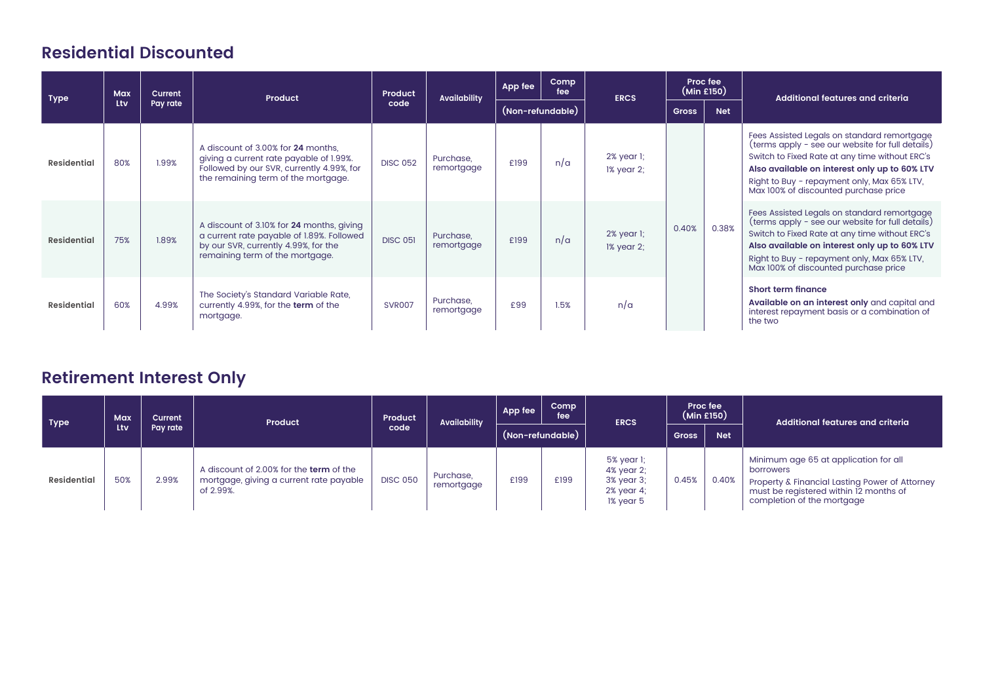### **Residential Discounted**

| <b>Type</b> | Max | <b>Current</b> | Product                                                                                                                                                           | Product         | <b>Availability</b>     | App fee | Comp<br>fee      | <b>ERCS</b>                            |              | Proc fee<br>(Min £150) | Additional features and criteria                                                                                                                                                                                                                                                           |
|-------------|-----|----------------|-------------------------------------------------------------------------------------------------------------------------------------------------------------------|-----------------|-------------------------|---------|------------------|----------------------------------------|--------------|------------------------|--------------------------------------------------------------------------------------------------------------------------------------------------------------------------------------------------------------------------------------------------------------------------------------------|
|             | Ltv | Pay rate       |                                                                                                                                                                   | code            |                         |         | (Non-refundable) |                                        | <b>Gross</b> | <b>Net</b>             |                                                                                                                                                                                                                                                                                            |
| Residential | 80% | 1.99%          | A discount of 3.00% for 24 months.<br>giving a current rate payable of 1.99%.<br>Followed by our SVR, currently 4.99%, for<br>the remaining term of the mortgage. | <b>DISC 052</b> | Purchase.<br>remortgage | £199    | n/a              | 2% year 1;<br>1% year 2;               |              |                        | Fees Assisted Legals on standard remortgage<br>(terms apply - see our website for full details)<br>Switch to Fixed Rate at any time without ERC's<br>Also available on interest only up to 60% LTV<br>Right to Buy - repayment only, Max 65% LTV,<br>Max 100% of discounted purchase price |
| Residential | 75% | 1.89%          | A discount of 3.10% for 24 months, giving<br>a current rate payable of 1.89%. Followed<br>by our SVR, currently 4.99%, for the<br>remaining term of the mortgage. | <b>DISC 051</b> | Purchase,<br>remortgage | £199    | n/a              | $2%$ year $\mathbf{l}$ ;<br>1% year 2; | 0.40%        | 0.38%                  | Fees Assisted Legals on standard remortgage<br>(terms apply - see our website for full details)<br>Switch to Fixed Rate at any time without ERC's<br>Also available on interest only up to 60% LTV<br>Right to Buy - repayment only, Max 65% LTV,<br>Max 100% of discounted purchase price |
| Residential | 60% | 4.99%          | The Society's Standard Variable Rate,<br>currently 4.99%, for the term of the<br>mortgage.                                                                        | <b>SVR007</b>   | Purchase,<br>remortgage | £99     | 1.5%             | n/a                                    |              |                        | <b>Short term finance</b><br>Available on an interest only and capital and<br>interest repayment basis or a combination of<br>the two                                                                                                                                                      |

### **Retirement Interest Only**

| <b>Type</b> | <b>Max</b> | Current  | Product                                                                                         | Product         | <b>Availability</b>     | App fee | Comp<br>fee      | <b>ERCS</b>                                                       | Proc fee     | (Min £150) | Additional features and criteria                                                                                                                                             |
|-------------|------------|----------|-------------------------------------------------------------------------------------------------|-----------------|-------------------------|---------|------------------|-------------------------------------------------------------------|--------------|------------|------------------------------------------------------------------------------------------------------------------------------------------------------------------------------|
|             | Ltv        | Pay rate |                                                                                                 | code            |                         |         | (Non-refundable) |                                                                   | <b>Gross</b> | <b>Net</b> |                                                                                                                                                                              |
| Residential | 50%        | 2.99%    | A discount of 2.00% for the term of the<br>mortgage, giving a current rate payable<br>of 2.99%. | <b>DISC 050</b> | Purchase,<br>remortgage | £199    | £199             | 5% year 1;<br>4% year 2:<br>3% year 3;<br>2% year 4:<br>1% year 5 | 0.45%        | 0.40%      | Minimum age 65 at application for all<br>borrowers<br>Property & Financial Lasting Power of Attorney<br>must be registered within 12 months of<br>completion of the mortgage |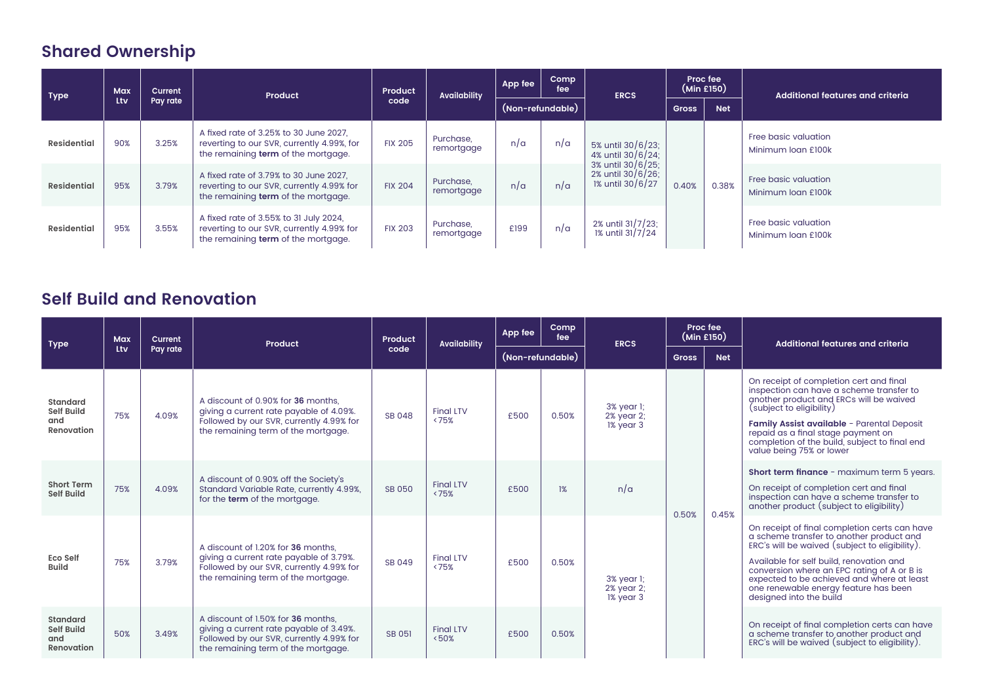## **Shared Ownership**

| <b>Type</b>        | Max | Current  | Product                                                                                                                     | Product        | Availability            | App fee | Comp<br>fee      | <b>ERCS</b>                                                 | (Min £150)   | Proc fee   | Additional features and criteria           |
|--------------------|-----|----------|-----------------------------------------------------------------------------------------------------------------------------|----------------|-------------------------|---------|------------------|-------------------------------------------------------------|--------------|------------|--------------------------------------------|
|                    | Ltv | Pay rate |                                                                                                                             | code           |                         |         | (Non-refundable) |                                                             | <b>Gross</b> | <b>Net</b> |                                            |
| <b>Residential</b> | 90% | 3.25%    | A fixed rate of 3.25% to 30 June 2027.<br>reverting to our SVR, currently 4.99%, for<br>the remaining term of the mortgage. | <b>FIX 205</b> | Purchase,<br>remortgage | n/a     | n/a              | 5% until 30/6/23;<br>4% until 30/6/24;<br>3% until 30/6/25; |              |            | Free basic valuation<br>Minimum Joan £100k |
| <b>Residential</b> | 95% | 3.79%    | A fixed rate of 3.79% to 30 June 2027,<br>reverting to our SVR, currently 4.99% for<br>the remaining term of the mortgage.  | <b>FIX 204</b> | Purchase,<br>remortgage | n/a     | n/a              | 2% until 30/6/26;<br>1% until 30/6/27                       | 0.40%        | 0.38%      | Free basic valuation<br>Minimum Joan £100k |
| <b>Residential</b> | 95% | 3.55%    | A fixed rate of 3.55% to 31 July 2024,<br>reverting to our SVR, currently 4.99% for<br>the remaining term of the mortgage.  | <b>FIX 203</b> | Purchase,<br>remortgage | £199    | n/a              | 2% until 31/7/23;<br>1% until 31/7/24                       |              |            | Free basic valuation<br>Minimum Joan £100k |

### **Self Build and Renovation**

| <b>Type</b>                                        | <b>Max</b> | Current  | Product                                                                                                                                                          | Product       | <b>Availability</b>       | App fee          | Comp<br>fee | <b>ERCS</b>                           | Proc fee<br>(Min £150) |            | Additional features and criteria                                                                                                                                                                                                                                                                                                                         |
|----------------------------------------------------|------------|----------|------------------------------------------------------------------------------------------------------------------------------------------------------------------|---------------|---------------------------|------------------|-------------|---------------------------------------|------------------------|------------|----------------------------------------------------------------------------------------------------------------------------------------------------------------------------------------------------------------------------------------------------------------------------------------------------------------------------------------------------------|
|                                                    | Ltv        | Pay rate |                                                                                                                                                                  | code          |                           | (Non-refundable) |             |                                       | <b>Gross</b>           | <b>Net</b> |                                                                                                                                                                                                                                                                                                                                                          |
| Standard<br>Self Build<br>and<br>Renovation        | 75%        | 4.09%    | A discount of 0.90% for 36 months.<br>giving a current rate payable of 4.09%.<br>Followed by our SVR, currently 4.99% for<br>the remaining term of the mortgage. | SB 048        | <b>Final LTV</b><br>< 75% | £500             | 0.50%       | 3% year 1;<br>2% year 2;<br>1% year 3 |                        |            | On receipt of completion cert and final<br>inspection can have a scheme transfer to<br>another product and ERCs will be waived<br>(subject to eligibility)<br>Family Assist available - Parental Deposit<br>repaid as a final stage payment on<br>completion of the build, subject to final end<br>value being 75% or lower                              |
| <b>Short Term</b><br><b>Self Build</b>             | 75%        | 4.09%    | A discount of 0.90% off the Society's<br>Standard Variable Rate, currently 4.99%,<br>for the term of the mortgage.                                               | SB 050        | <b>Final LTV</b><br>< 75% | £500             | 1%          | n/a                                   | 0.50%                  | 0.45%      | <b>Short term finance</b> - maximum term 5 years.<br>On receipt of completion cert and final<br>inspection can have a scheme transfer to<br>another product (subject to eligibility)                                                                                                                                                                     |
| <b>Eco Self</b><br><b>Build</b>                    | 75%        | 3.79%    | A discount of 1.20% for 36 months.<br>giving a current rate payable of 3.79%.<br>Followed by our SVR, currently 4.99% for<br>the remaining term of the mortgage. | SB 049        | <b>Final LTV</b><br>< 75% | £500             | 0.50%       | 3% year 1;<br>2% year 2;<br>1% year 3 |                        |            | On receipt of final completion certs can have<br>a scheme transfer to another product and<br>ERC's will be waived (subject to eligibility).<br>Available for self build, renovation and<br>conversion where an EPC rating of A or B is<br>expected to be achieved and where at least<br>one renewable energy feature has been<br>designed into the build |
| Standard<br><b>Self Build</b><br>and<br>Renovation | 50%        | 3.49%    | A discount of 1.50% for 36 months.<br>giving a current rate payable of 3.49%.<br>Followed by our SVR, currently 4.99% for<br>the remaining term of the mortgage. | <b>SB 051</b> | <b>Final LTV</b><br>< 50% | £500             | 0.50%       |                                       |                        |            | On receipt of final completion certs can have<br>a scheme transfer to another product and<br>ERC's will be waived (subject to eligibility).                                                                                                                                                                                                              |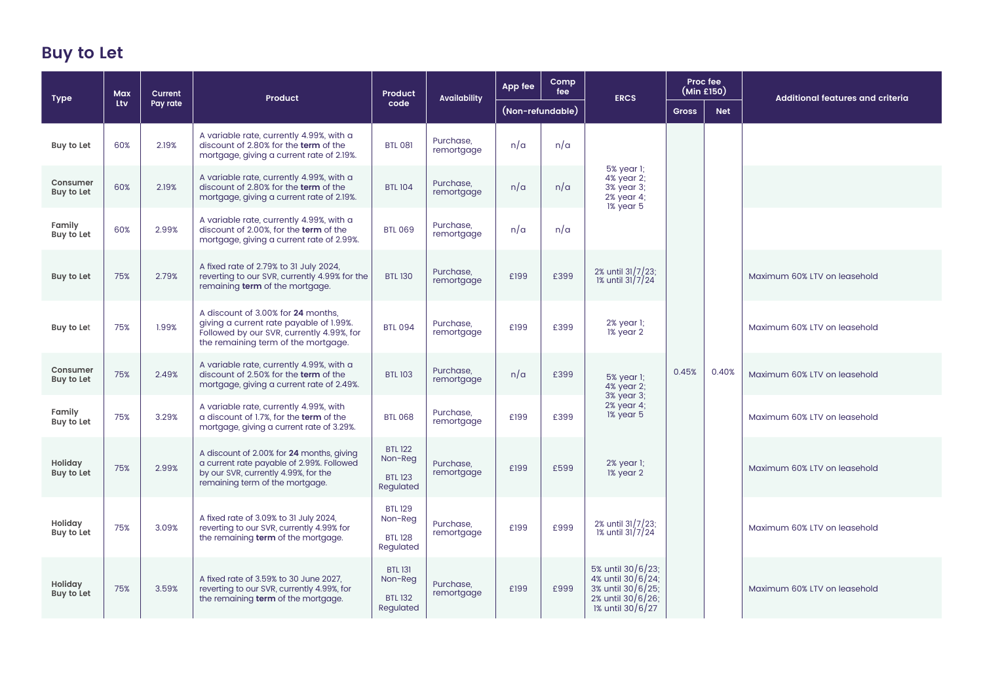## **Buy to Let**

| <b>Type</b>            | <b>Max</b><br>Current<br>Ltv<br>Pay rate | Product | Product                                                                                                                                                           | <b>Availability</b>                                      | App fee                 | Comp<br>fee      | <b>ERCS</b> | Proc fee<br>(Min £150)                                                                               |              | <b>Additional features and criteria</b> |                              |
|------------------------|------------------------------------------|---------|-------------------------------------------------------------------------------------------------------------------------------------------------------------------|----------------------------------------------------------|-------------------------|------------------|-------------|------------------------------------------------------------------------------------------------------|--------------|-----------------------------------------|------------------------------|
|                        |                                          |         |                                                                                                                                                                   | code                                                     |                         | (Non-refundable) |             |                                                                                                      | <b>Gross</b> | <b>Net</b>                              |                              |
| Buy to Let             | 60%                                      | 2.19%   | A variable rate, currently 4.99%, with a<br>discount of 2.80% for the term of the<br>mortgage, giving a current rate of 2.19%.                                    | <b>BTL 081</b>                                           | Purchase,<br>remortgage | n/a              | n/a         |                                                                                                      |              |                                         |                              |
| Consumer<br>Buy to Let | 60%                                      | 2.19%   | A variable rate, currently 4.99%, with a<br>discount of 2.80% for the term of the<br>mortgage, giving a current rate of 2.19%.                                    | <b>BTL 104</b>                                           | Purchase,<br>remortgage | n/a              | n/a         | 5% year 1;<br>4% year 2:<br>3% year 3;<br>2% year 4:<br>1% year 5                                    |              |                                         |                              |
| Family<br>Buy to Let   | 60%                                      | 2.99%   | A variable rate, currently 4.99%, with a<br>discount of 2.00%, for the term of the<br>mortgage, giving a current rate of 2.99%.                                   | <b>BTL 069</b>                                           | Purchase,<br>remortgage | n/a              | n/a         |                                                                                                      |              |                                         |                              |
| Buy to Let             | 75%                                      | 2.79%   | A fixed rate of 2.79% to 31 July 2024,<br>reverting to our SVR, currently 4.99% for the<br>remaining term of the mortgage.                                        | <b>BTL 130</b>                                           | Purchase,<br>remortgage | £199             | £399        | 2% until 31/7/23;<br>$\frac{20}{1\%}$ until 31/7/24                                                  |              |                                         | Maximum 60% LTV on leasehold |
| Buy to Let             | 75%                                      | 1.99%   | A discount of 3.00% for 24 months.<br>giving a current rate payable of 1.99%.<br>Followed by our SVR, currently 4.99%, for<br>the remaining term of the mortgage. | <b>BTL 094</b>                                           | Purchase.<br>remortgage | £199             | £399        | 2% year 1;<br>1% year 2                                                                              |              |                                         | Maximum 60% LTV on leasehold |
| Consumer<br>Buy to Let | 75%                                      | 2.49%   | A variable rate, currently 4.99%, with a<br>discount of 2.50% for the term of the<br>mortgage, giving a current rate of 2.49%.                                    | <b>BTL 103</b>                                           | Purchase.<br>remortgage | n/a              | £399        | 5% vear 1:<br>4% year 2:                                                                             | 0.45%        | 0.40%                                   | Maximum 60% LTV on leasehold |
| Family<br>Buy to Let   | 75%                                      | 3.29%   | A variable rate, currently 4.99%, with<br>a discount of 1.7%, for the term of the<br>mortgage, giving a current rate of 3.29%.                                    | <b>BTL 068</b>                                           | Purchase.<br>remortgage | £199             | £399        | 3% year 3;<br>2% year 4;<br>1% year 5                                                                |              |                                         | Maximum 60% LTV on leasehold |
| Holiday<br>Buy to Let  | 75%                                      | 2.99%   | A discount of 2.00% for 24 months, giving<br>a current rate payable of 2.99%. Followed<br>by our SVR, currently 4.99%, for the<br>remaining term of the mortgage. | <b>BTL 122</b><br>Non-Reg<br><b>BTL 123</b><br>Regulated | Purchase,<br>remortgage | £199             | £599        | 2% year 1;<br>1% year 2                                                                              |              |                                         | Maximum 60% LTV on leasehold |
| Holiday<br>Buy to Let  | 75%                                      | 3.09%   | A fixed rate of 3.09% to 31 July 2024,<br>reverting to our SVR, currently 4.99% for<br>the remaining term of the mortgage.                                        | <b>BTL 129</b><br>Non-Reg<br><b>BTL 128</b><br>Regulated | Purchase.<br>remortgage | £199             | £999        | 2% until 31/7/23:<br>1% until 31/7/24                                                                |              |                                         | Maximum 60% LTV on leasehold |
| Holiday<br>Buy to Let  | 75%                                      | 3.59%   | A fixed rate of 3.59% to 30 June 2027.<br>reverting to our SVR, currently 4.99%, for<br>the remaining term of the mortgage.                                       | <b>BTL 131</b><br>Non-Reg<br><b>BTL 132</b><br>Regulated | Purchase.<br>remortgage | £199             | £999        | 5% until 30/6/23;<br>4% until 30/6/24;<br>3% until 30/6/25;<br>2% until 30/6/26;<br>1% until 30/6/27 |              |                                         | Maximum 60% LTV on leasehold |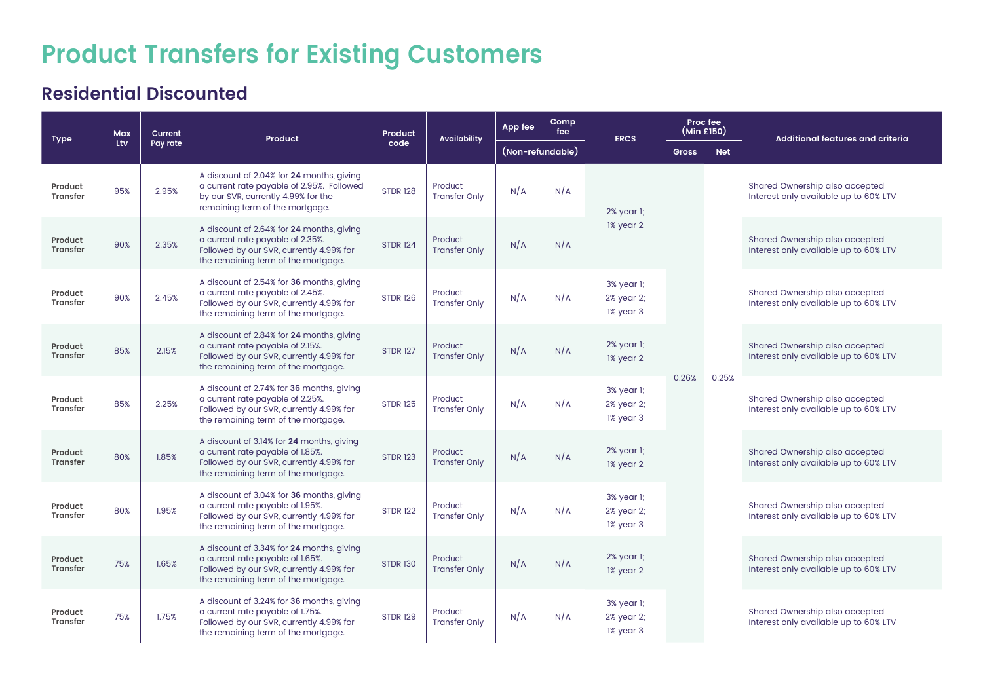# **Product Transfers for Existing Customers**

### **Residential Discounted**

| <b>Type</b>                | <b>Max</b> | Current  | <b>Product</b>                                                                                                                                                   | Product         | <b>Availability</b>             | App fee          | Comp<br>fee | <b>ERCS</b>                           | Proc fee<br>(Min £150) |            | <b>Additional features and criteria</b>                                 |
|----------------------------|------------|----------|------------------------------------------------------------------------------------------------------------------------------------------------------------------|-----------------|---------------------------------|------------------|-------------|---------------------------------------|------------------------|------------|-------------------------------------------------------------------------|
|                            | Ltv        | Pay rate |                                                                                                                                                                  | code            |                                 | (Non-refundable) |             |                                       | <b>Gross</b>           | <b>Net</b> |                                                                         |
| Product<br><b>Transfer</b> | 95%        | 2.95%    | A discount of 2.04% for 24 months, giving<br>a current rate payable of 2.95%. Followed<br>by our SVR, currently 4.99% for the<br>remaining term of the mortgage. | <b>STDR 128</b> | Product<br><b>Transfer Only</b> | N/A              | N/A         | 2% year 1;                            |                        |            | Shared Ownership also accepted<br>Interest only available up to 60% LTV |
| Product<br><b>Transfer</b> | 90%        | 2.35%    | A discount of 2.64% for 24 months, giving<br>a current rate payable of 2.35%.<br>Followed by our SVR, currently 4.99% for<br>the remaining term of the mortgage. | <b>STDR 124</b> | Product<br><b>Transfer Only</b> | N/A              | N/A         | 1% year 2                             |                        |            | Shared Ownership also accepted<br>Interest only available up to 60% LTV |
| Product<br><b>Transfer</b> | 90%        | 2.45%    | A discount of 2.54% for 36 months, giving<br>a current rate payable of 2.45%.<br>Followed by our SVR, currently 4.99% for<br>the remaining term of the mortgage. | <b>STDR 126</b> | Product<br><b>Transfer Only</b> | N/A              | N/A         | 3% year 1;<br>2% year 2;<br>1% year 3 |                        |            | Shared Ownership also accepted<br>Interest only available up to 60% LTV |
| Product<br><b>Transfer</b> | 85%        | 2.15%    | A discount of 2.84% for 24 months, giving<br>a current rate payable of 2.15%.<br>Followed by our SVR, currently 4.99% for<br>the remaining term of the mortgage. | <b>STDR 127</b> | Product<br><b>Transfer Only</b> | N/A              | N/A         | 2% year 1;<br>1% year 2               | 0.26%                  | 0.25%      | Shared Ownership also accepted<br>Interest only available up to 60% LTV |
| Product<br><b>Transfer</b> | 85%        | 2.25%    | A discount of 2.74% for 36 months, giving<br>a current rate payable of 2.25%.<br>Followed by our SVR, currently 4.99% for<br>the remaining term of the mortgage. | <b>STDR 125</b> | Product<br><b>Transfer Only</b> | N/A              | N/A         | 3% year 1;<br>2% year 2;<br>1% year 3 |                        |            | Shared Ownership also accepted<br>Interest only available up to 60% LTV |
| Product<br><b>Transfer</b> | 80%        | 1.85%    | A discount of 3.14% for 24 months, giving<br>a current rate payable of 1.85%.<br>Followed by our SVR, currently 4.99% for<br>the remaining term of the mortgage. | <b>STDR 123</b> | Product<br><b>Transfer Only</b> | N/A              | N/A         | 2% year 1;<br>1% year 2               |                        |            | Shared Ownership also accepted<br>Interest only available up to 60% LTV |
| Product<br><b>Transfer</b> | 80%        | 1.95%    | A discount of 3.04% for 36 months, giving<br>a current rate payable of 1.95%.<br>Followed by our SVR, currently 4.99% for<br>the remaining term of the mortgage. | <b>STDR 122</b> | Product<br><b>Transfer Only</b> | N/A              | N/A         | 3% year 1;<br>2% year 2;<br>1% year 3 |                        |            | Shared Ownership also accepted<br>Interest only available up to 60% LTV |
| Product<br><b>Transfer</b> | 75%        | 1.65%    | A discount of 3.34% for 24 months, giving<br>a current rate payable of 1.65%.<br>Followed by our SVR, currently 4.99% for<br>the remaining term of the mortgage. | <b>STDR 130</b> | Product<br><b>Transfer Only</b> | N/A              | N/A         | 2% year 1;<br>1% year 2               |                        |            | Shared Ownership also accepted<br>Interest only available up to 60% LTV |
| Product<br><b>Transfer</b> | 75%        | 1.75%    | A discount of 3.24% for 36 months, giving<br>a current rate payable of 1.75%.<br>Followed by our SVR, currently 4.99% for<br>the remaining term of the mortgage. | <b>STDR 129</b> | Product<br><b>Transfer Only</b> | N/A              | N/A         | 3% year 1;<br>2% year 2;<br>1% year 3 |                        |            | Shared Ownership also accepted<br>Interest only available up to 60% LTV |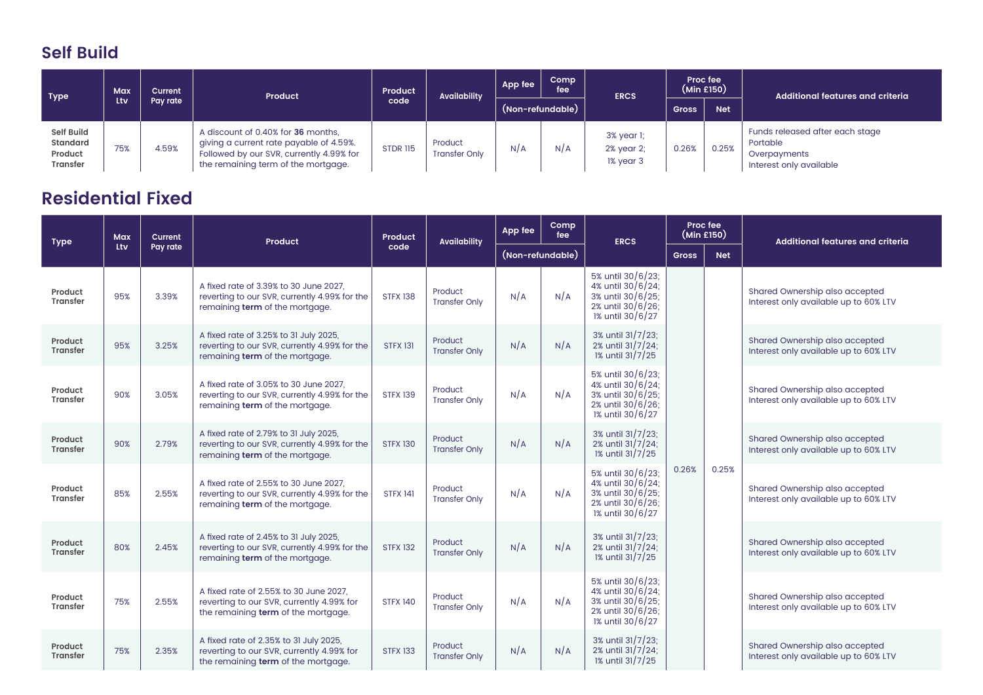### **Self Build**

| Type                                                 | Max | <b>Current</b> | Product                                                                                                                                                          | <b>Product</b>  | <b>Availability</b>             | App fee | Comp<br>fee      | <b>ERCS</b>                           |              | Proc fee<br>(Min £150) | Additional features and criteria                                                       |
|------------------------------------------------------|-----|----------------|------------------------------------------------------------------------------------------------------------------------------------------------------------------|-----------------|---------------------------------|---------|------------------|---------------------------------------|--------------|------------------------|----------------------------------------------------------------------------------------|
|                                                      | Ltv | Pav rate       |                                                                                                                                                                  | code            |                                 |         | (Non-refundable) |                                       | <b>Gross</b> | <b>Net</b>             |                                                                                        |
| Self Build<br>Standard<br>Product<br><b>Transfer</b> | 75% | 4.59%          | A discount of 0.40% for 36 months.<br>giving a current rate payable of 4.59%.<br>Followed by our SVR, currently 4.99% for<br>the remaining term of the mortgage. | <b>STDR 115</b> | Product<br><b>Transfer Only</b> | N/A     | N/A              | 3% year 1;<br>2% year 2:<br>1% year 3 | 0.26%        | 0.25%                  | Funds released after each stage<br>Portable<br>Overpayments<br>Interest only available |

### **Residential Fixed**

| <b>Type</b>                | Max | <b>Current</b> | Product                                                                                                                    | Product         | <b>Availability</b>             | App fee          | Comp<br>fee | <b>ERCS</b>                                                                                          | Proc fee<br>(Min E150) |            | <b>Additional features and criteria</b>                                 |
|----------------------------|-----|----------------|----------------------------------------------------------------------------------------------------------------------------|-----------------|---------------------------------|------------------|-------------|------------------------------------------------------------------------------------------------------|------------------------|------------|-------------------------------------------------------------------------|
|                            | Ltv | Pay rate       |                                                                                                                            | code            |                                 | (Non-refundable) |             |                                                                                                      | <b>Gross</b>           | <b>Net</b> |                                                                         |
| Product<br><b>Transfer</b> | 95% | 3.39%          | A fixed rate of 3.39% to 30 June 2027,<br>reverting to our SVR, currently 4.99% for the<br>remaining term of the mortgage. | <b>STFX 138</b> | Product<br><b>Transfer Only</b> | N/A              | N/A         | 5% until 30/6/23;<br>4% until 30/6/24;<br>3% until 30/6/25;<br>2% until 30/6/26;<br>1% until 30/6/27 |                        |            | Shared Ownership also accepted<br>Interest only available up to 60% LTV |
| Product<br><b>Transfer</b> | 95% | 3.25%          | A fixed rate of 3.25% to 31 July 2025,<br>reverting to our SVR, currently 4.99% for the<br>remaining term of the mortgage. | <b>STFX 131</b> | Product<br><b>Transfer Only</b> | N/A              | N/A         | 3% until 31/7/23:<br>2% until 31/7/24;<br>1% until 31/7/25                                           |                        |            | Shared Ownership also accepted<br>Interest only available up to 60% LTV |
| Product<br><b>Transfer</b> | 90% | 3.05%          | A fixed rate of 3.05% to 30 June 2027,<br>reverting to our SVR, currently 4.99% for the<br>remaining term of the mortgage. | <b>STFX 139</b> | Product<br><b>Transfer Only</b> | N/A              | N/A         | 5% until 30/6/23:<br>4% until 30/6/24;<br>3% until 30/6/25;<br>2% until 30/6/26;<br>1% until 30/6/27 |                        |            | Shared Ownership also accepted<br>Interest only available up to 60% LTV |
| Product<br><b>Transfer</b> | 90% | 2.79%          | A fixed rate of 2.79% to 31 July 2025,<br>reverting to our SVR, currently 4.99% for the<br>remaining term of the mortgage. | <b>STFX 130</b> | Product<br><b>Transfer Only</b> | N/A              | N/A         | 3% until 31/7/23;<br>2% until 31/7/24;<br>1% until 31/7/25                                           |                        |            | Shared Ownership also accepted<br>Interest only available up to 60% LTV |
| Product<br><b>Transfer</b> | 85% | 2.55%          | A fixed rate of 2.55% to 30 June 2027.<br>reverting to our SVR, currently 4.99% for the<br>remaining term of the mortgage. | <b>STFX 141</b> | Product<br><b>Transfer Only</b> | N/A              | N/A         | 5% until 30/6/23;<br>4% until 30/6/24;<br>3% until 30/6/25;<br>2% until 30/6/26;<br>1% until 30/6/27 | 0.26%                  | 0.25%      | Shared Ownership also accepted<br>Interest only available up to 60% LTV |
| Product<br><b>Transfer</b> | 80% | 2.45%          | A fixed rate of 2.45% to 31 July 2025,<br>reverting to our SVR, currently 4.99% for the<br>remaining term of the mortgage. | <b>STFX 132</b> | Product<br><b>Transfer Only</b> | N/A              | N/A         | 3% until 31/7/23;<br>2% until 31/7/24;<br>1% until 31/7/25                                           |                        |            | Shared Ownership also accepted<br>Interest only available up to 60% LTV |
| Product<br><b>Transfer</b> | 75% | 2.55%          | A fixed rate of 2.55% to 30 June 2027.<br>reverting to our SVR, currently 4.99% for<br>the remaining term of the mortgage. | <b>STFX 140</b> | Product<br><b>Transfer Only</b> | N/A              | N/A         | 5% until 30/6/23:<br>4% until 30/6/24;<br>3% until 30/6/25;<br>2% until 30/6/26;<br>1% until 30/6/27 |                        |            | Shared Ownership also accepted<br>Interest only available up to 60% LTV |
| Product<br><b>Transfer</b> | 75% | 2.35%          | A fixed rate of 2.35% to 31 July 2025,<br>reverting to our SVR, currently 4.99% for<br>the remaining term of the mortgage. | <b>STFX 133</b> | Product<br><b>Transfer Only</b> | N/A              | N/A         | 3% until 31/7/23:<br>2% until 31/7/24;<br>1% until 31/7/25                                           |                        |            | Shared Ownership also accepted<br>Interest only available up to 60% LTV |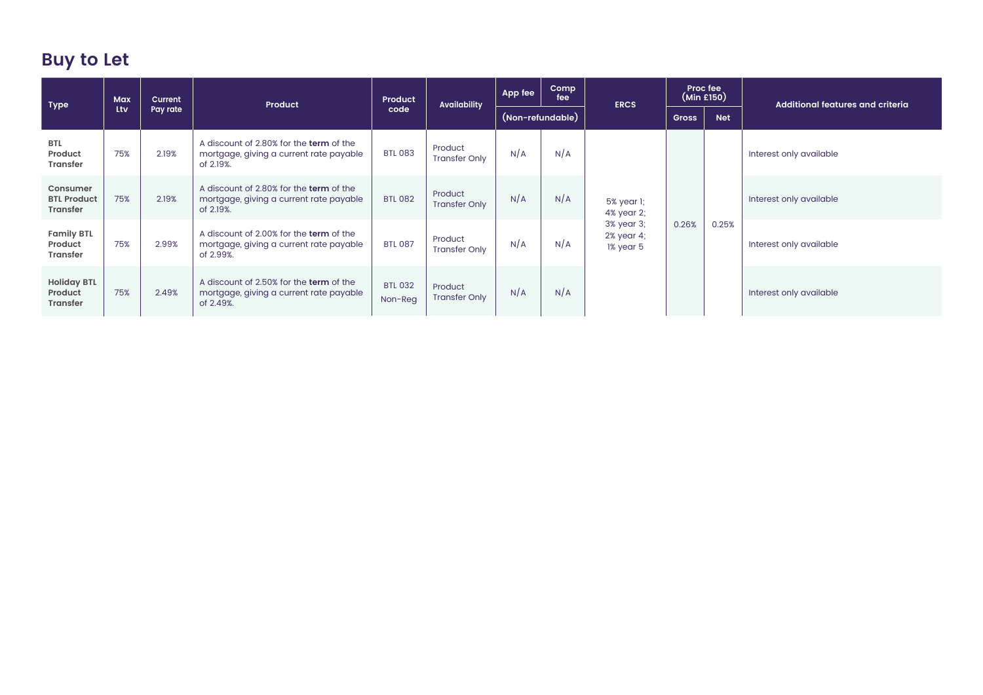## **Buy to Let**

| <b>Type</b>                                      | Max | <b>Current</b> | Product                                                                                         | Product                   | <b>Availability</b>             | App fee          | <b>Comp</b><br>fee | <b>ERCS</b>                           | Proc fee<br>(Min £150) |            | Additional features and criteria |
|--------------------------------------------------|-----|----------------|-------------------------------------------------------------------------------------------------|---------------------------|---------------------------------|------------------|--------------------|---------------------------------------|------------------------|------------|----------------------------------|
|                                                  | Ltv | Pay rate       |                                                                                                 | code                      |                                 | (Non-refundable) |                    |                                       | <b>Gross</b>           | <b>Net</b> |                                  |
| <b>BTL</b><br>Product<br><b>Transfer</b>         | 75% | 2.19%          | A discount of 2.80% for the term of the<br>mortgage, giving a current rate payable<br>of 2.19%. | <b>BTL 083</b>            | Product<br><b>Transfer Only</b> | N/A              | N/A                |                                       |                        |            | Interest only available          |
| Consumer<br><b>BTL Product</b><br>Transfer       | 75% | 2.19%          | A discount of 2.80% for the term of the<br>mortgage, giving a current rate payable<br>of 2.19%. | <b>BTL 082</b>            | Product<br><b>Transfer Only</b> | N/A              | N/A                | 5% year 1;<br>4% year 2;              |                        |            | Interest only available          |
| <b>Family BTL</b><br>Product<br><b>Transfer</b>  | 75% | 2.99%          | A discount of 2.00% for the term of the<br>mortgage, giving a current rate payable<br>of 2.99%. | <b>BTL 087</b>            | Product<br><b>Transfer Only</b> | N/A              | N/A                | 3% year 3;<br>2% year 4;<br>1% year 5 | 0.26%                  | 0.25%      | Interest only available          |
| <b>Holiday BTL</b><br>Product<br><b>Transfer</b> | 75% | 2.49%          | A discount of 2.50% for the term of the<br>mortgage, giving a current rate payable<br>of 2.49%. | <b>BTL 032</b><br>Non-Req | Product<br><b>Transfer Only</b> | N/A              | N/A                |                                       |                        |            | Interest only available          |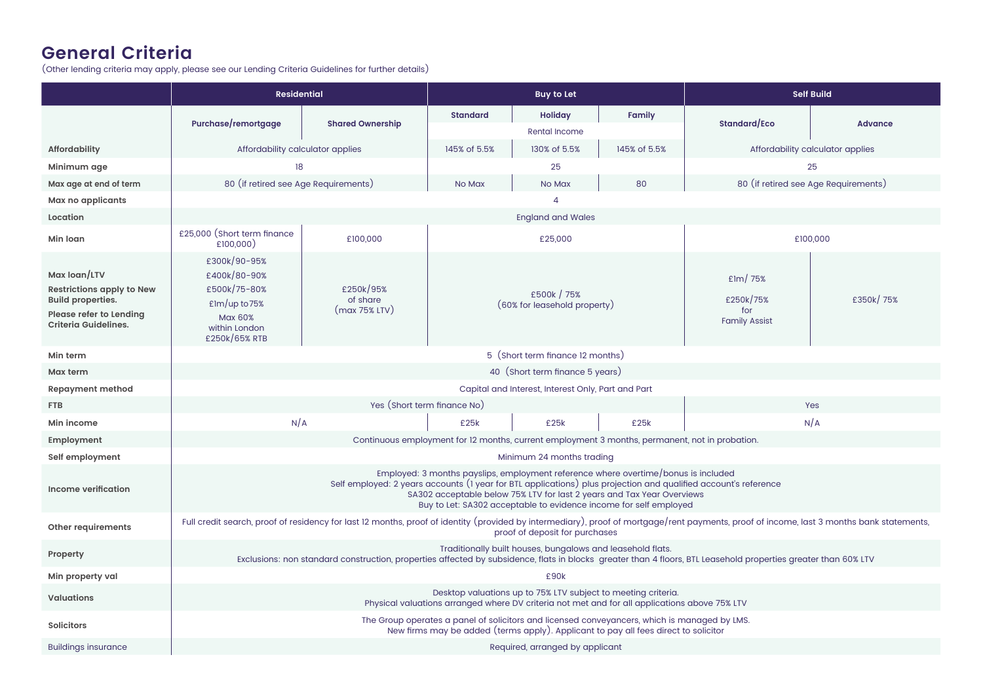### **General Criteria**

(Other lending criteria may apply, please see our Lending Criteria Guidelines for further details)

|                                                                                                                                        | <b>Residential</b>                                                                                                   |                                        | <b>Self Build</b><br><b>Buy to Let</b> |                                                               |                                                                                                                                                                                                                                   |                                                                                                                                                                                           |                                      |
|----------------------------------------------------------------------------------------------------------------------------------------|----------------------------------------------------------------------------------------------------------------------|----------------------------------------|----------------------------------------|---------------------------------------------------------------|-----------------------------------------------------------------------------------------------------------------------------------------------------------------------------------------------------------------------------------|-------------------------------------------------------------------------------------------------------------------------------------------------------------------------------------------|--------------------------------------|
|                                                                                                                                        | Purchase/remortgage                                                                                                  | <b>Shared Ownership</b>                | <b>Standard</b>                        | Holiday<br><b>Rental Income</b>                               | Family                                                                                                                                                                                                                            | Standard/Eco                                                                                                                                                                              | <b>Advance</b>                       |
| <b>Affordability</b>                                                                                                                   | Affordability calculator applies                                                                                     |                                        | 145% of 5.5%                           | 130% of 5.5%                                                  | 145% of 5.5%                                                                                                                                                                                                                      |                                                                                                                                                                                           | Affordability calculator applies     |
| Minimum age                                                                                                                            | 18                                                                                                                   |                                        |                                        | 25                                                            |                                                                                                                                                                                                                                   |                                                                                                                                                                                           | 25                                   |
| Max age at end of term                                                                                                                 | 80 (if retired see Age Requirements)                                                                                 |                                        | No Max                                 | No Max                                                        | 80                                                                                                                                                                                                                                |                                                                                                                                                                                           | 80 (if retired see Age Requirements) |
| Max no applicants                                                                                                                      |                                                                                                                      |                                        |                                        | $\overline{\mathcal{A}}$                                      |                                                                                                                                                                                                                                   |                                                                                                                                                                                           |                                      |
| Location                                                                                                                               |                                                                                                                      |                                        |                                        | <b>England and Wales</b>                                      |                                                                                                                                                                                                                                   |                                                                                                                                                                                           |                                      |
| Min Ioan                                                                                                                               | £25,000 (Short term finance<br>£100,000)                                                                             | £100,000                               |                                        | £25,000                                                       |                                                                                                                                                                                                                                   |                                                                                                                                                                                           | £100,000                             |
| Max loan/LTV<br><b>Restrictions apply to New</b><br><b>Build properties.</b><br>Please refer to Lending<br><b>Criteria Guidelines.</b> | £300k/90-95%<br>£400k/80-90%<br>£500k/75-80%<br>$E$ lm/up to 75%<br><b>Max 60%</b><br>within London<br>£250k/65% RTB | £250k/95%<br>of share<br>(max 75% LTV) |                                        | £500k / 75%<br>(60% for leasehold property)                   |                                                                                                                                                                                                                                   | $E$ lm/75%<br>£250k/75%<br>for<br><b>Family Assist</b>                                                                                                                                    | £350k/75%                            |
| Min term                                                                                                                               |                                                                                                                      |                                        |                                        | 5 (Short term finance 12 months)                              |                                                                                                                                                                                                                                   |                                                                                                                                                                                           |                                      |
| Max term                                                                                                                               |                                                                                                                      |                                        |                                        | 40 (Short term finance 5 years)                               |                                                                                                                                                                                                                                   |                                                                                                                                                                                           |                                      |
| <b>Repayment method</b>                                                                                                                |                                                                                                                      |                                        |                                        | Capital and Interest, Interest Only, Part and Part            |                                                                                                                                                                                                                                   |                                                                                                                                                                                           |                                      |
| <b>FTB</b>                                                                                                                             |                                                                                                                      | Yes (Short term finance No)            |                                        |                                                               |                                                                                                                                                                                                                                   |                                                                                                                                                                                           | <b>Yes</b>                           |
| Min income                                                                                                                             | N/A                                                                                                                  |                                        | £25k                                   | £25k                                                          | £25k                                                                                                                                                                                                                              |                                                                                                                                                                                           | N/A                                  |
| Employment                                                                                                                             |                                                                                                                      |                                        |                                        |                                                               | Continuous employment for 12 months, current employment 3 months, permanent, not in probation.                                                                                                                                    |                                                                                                                                                                                           |                                      |
| Self employment                                                                                                                        |                                                                                                                      |                                        |                                        | Minimum 24 months trading                                     |                                                                                                                                                                                                                                   |                                                                                                                                                                                           |                                      |
| <b>Income verification</b>                                                                                                             |                                                                                                                      |                                        |                                        |                                                               | Employed: 3 months payslips, employment reference where overtime/bonus is included<br>SA302 acceptable below 75% LTV for last 2 years and Tax Year Overviews<br>Buy to Let: SA302 acceptable to evidence income for self employed | Self employed: 2 years accounts (1 year for BTL applications) plus projection and qualified account's reference                                                                           |                                      |
| Other requirements                                                                                                                     |                                                                                                                      |                                        |                                        | proof of deposit for purchases                                |                                                                                                                                                                                                                                   | Full credit search, proof of residency for last 12 months, proof of identity (provided by intermediary), proof of mortgage/rent payments, proof of income, last 3 months bank statements, |                                      |
| Property                                                                                                                               |                                                                                                                      |                                        |                                        | Traditionally built houses, bungalows and leasehold flats.    |                                                                                                                                                                                                                                   | Exclusions: non standard construction, properties affected by subsidence, flats in blocks greater than 4 floors, BTL Leasehold properties greater than 60% LTV                            |                                      |
| Min property val                                                                                                                       |                                                                                                                      |                                        |                                        | £90k                                                          |                                                                                                                                                                                                                                   |                                                                                                                                                                                           |                                      |
| <b>Valuations</b>                                                                                                                      |                                                                                                                      |                                        |                                        | Desktop valuations up to 75% LTV subject to meeting criteria. | Physical valuations arranged where DV criteria not met and for all applications above 75% LTV                                                                                                                                     |                                                                                                                                                                                           |                                      |
| <b>Solicitors</b>                                                                                                                      |                                                                                                                      |                                        |                                        |                                                               | The Group operates a panel of solicitors and licensed conveyancers, which is managed by LMS.<br>New firms may be added (terms apply). Applicant to pay all fees direct to solicitor                                               |                                                                                                                                                                                           |                                      |
| <b>Buildings insurance</b>                                                                                                             |                                                                                                                      |                                        |                                        | Required, arranged by applicant                               |                                                                                                                                                                                                                                   |                                                                                                                                                                                           |                                      |